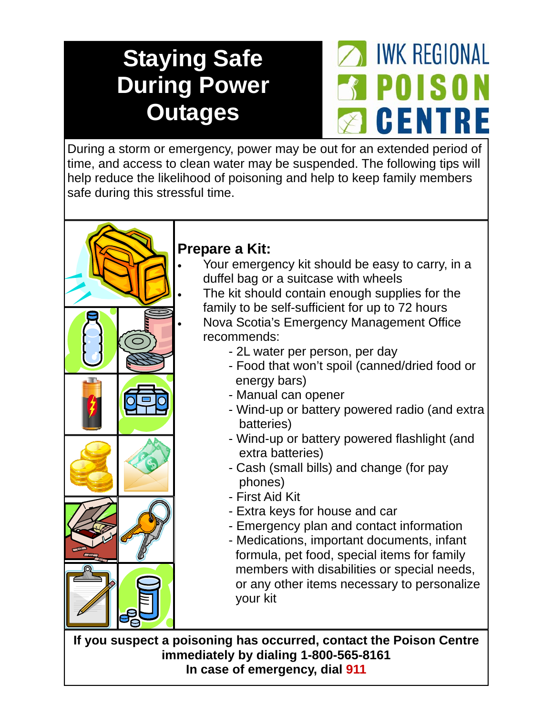## **Staying Safe During Power Outages**



During a storm or emergency, power may be out for an extended period of time, and access to clean water may be suspended. The following tips will help reduce the likelihood of poisoning and help to keep family members safe during this stressful time.



## **Prepare a Kit:**

- Your emergency kit should be easy to carry, in a duffel bag or a suitcase with wheels
- The kit should contain enough supplies for the family to be self-sufficient for up to 72 hours
- Nova Scotia's Emergency Management Office recommends:
	- 2L water per person, per day
	- Food that won't spoil (canned/dried food or energy bars)
	- Manual can opener
	- Wind-up or battery powered radio (and extra batteries)
	- Wind-up or battery powered flashlight (and extra batteries)
	- Cash (small bills) and change (for pay phones)
	- First Aid Kit
	- Extra keys for house and car
	- Emergency plan and contact information
	- Medications, important documents, infant formula, pet food, special items for family members with disabilities or special needs, or any other items necessary to personalize your kit

**If you suspect a poisoning has occurred, contact the Poison Centre immediately by dialing 1-800-565-8161 In case of emergency, dial 911**